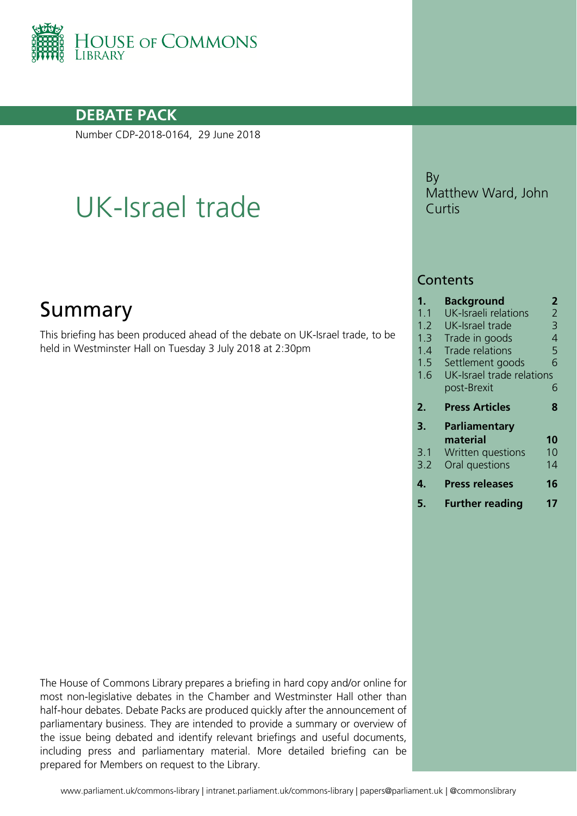

### **DEBATE PACK**

Number CDP-2018-0164, 29 June 2018

# UK-Israel trade

## Summary

This briefing has been produced ahead of the debate on UK-Israel trade, to be held in Westminster Hall on Tuesday 3 July 2018 at 2:30pm

By Matthew Ward, John Curtis

#### **Contents**

| $\mathbf 1$ . | <b>Background</b>                        | 2  |
|---------------|------------------------------------------|----|
| 1.1           | UK-Israeli relations                     | 2  |
| 1.2           | UK-Israel trade                          | 3  |
| 1.3           | Trade in goods                           | 4  |
| 1.4           | <b>Trade relations</b>                   | 5  |
| 1.5           | Settlement goods                         | 6  |
| 1.6           | UK-Israel trade relations<br>post-Brexit | 6  |
| 2.            | <b>Press Articles</b>                    | 8  |
| 3.            | <b>Parliamentary</b><br>material         | 10 |
| 3.1           | Written questions                        | 10 |
| 3.2           | Oral questions                           | 14 |

- **4. [Press releases](#page-15-0) 16**
- **5. [Further reading](#page-16-0) 17**

The House of Commons Library prepares a briefing in hard copy and/or online for most non-legislative debates in the Chamber and Westminster Hall other than half-hour debates. Debate Packs are produced quickly after the announcement of parliamentary business. They are intended to provide a summary or overview of the issue being debated and identify relevant briefings and useful documents, including press and parliamentary material. More detailed briefing can be prepared for Members on request to the Library.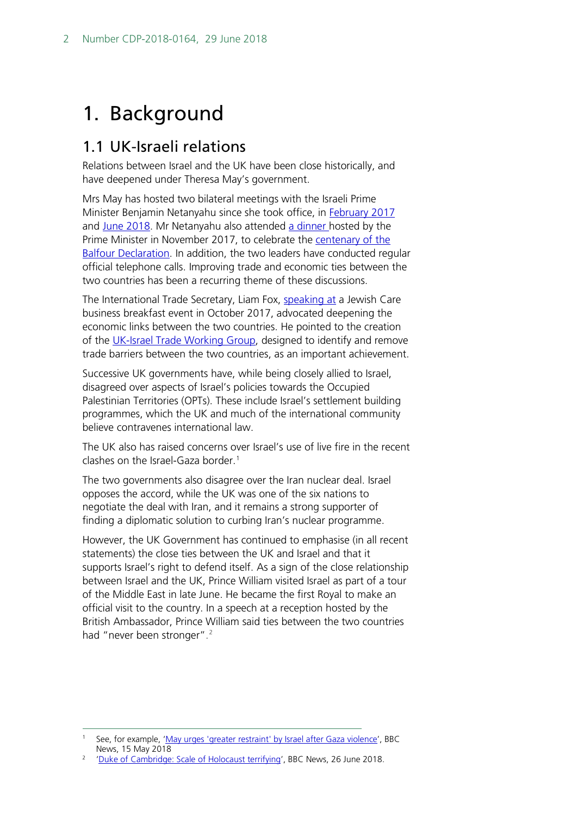## <span id="page-1-0"></span>1. Background

### <span id="page-1-1"></span>1.1 UK-Israeli relations

Relations between Israel and the UK have been close historically, and have deepened under Theresa May's government.

Mrs May has hosted two bilateral meetings with the Israeli Prime Minister Benjamin Netanyahu since she took office, in **February 2017** and [June 2018.](https://www.gov.uk/government/news/pm-meeting-with-israeli-prime-minister-6-june-2018) Mr Netanyahu also attended [a dinner h](https://www.gov.uk/government/speeches/pm-speech-at-balfour-centenary-dinner)osted by the Prime Minister in November 2017, to celebrate the [centenary of the](https://researchbriefings.parliament.uk/ResearchBriefing/Summary/CDP-2017-0191)  **[Balfour Declaration.](https://researchbriefings.parliament.uk/ResearchBriefing/Summary/CDP-2017-0191)** In addition, the two leaders have conducted regular official telephone calls. Improving trade and economic ties between the two countries has been a recurring theme of these discussions.

The International Trade Secretary, Liam Fox, [speaking at](https://www.gov.uk/government/speeches/liam-fox-celebrates-uk-israel-trade-relationship) a Jewish Care business breakfast event in October 2017, advocated deepening the economic links between the two countries. He pointed to the creation of the [UK-Israel Trade Working Group,](https://www.gov.uk/government/news/uk-and-israel-set-to-hold-first-trade-policy-working-group) designed to identify and remove trade barriers between the two countries, as an important achievement.

Successive UK governments have, while being closely allied to Israel, disagreed over aspects of Israel's policies towards the Occupied Palestinian Territories (OPTs). These include Israel's settlement building programmes, which the UK and much of the international community believe contravenes international law.

The UK also has raised concerns over Israel's use of live fire in the recent clashes on the Israel-Gaza border.<sup>[1](#page-1-2)</sup>

The two governments also disagree over the Iran nuclear deal. Israel opposes the accord, while the UK was one of the six nations to negotiate the deal with Iran, and it remains a strong supporter of finding a diplomatic solution to curbing Iran's nuclear programme.

However, the UK Government has continued to emphasise (in all recent statements) the close ties between the UK and Israel and that it supports Israel's right to defend itself. As a sign of the close relationship between Israel and the UK, Prince William visited Israel as part of a tour of the Middle East in late June. He became the first Royal to make an official visit to the country. In a speech at a reception hosted by the British Ambassador, Prince William said ties between the two countries had "never been stronger".<sup>[2](#page-1-3)</sup>

<span id="page-1-2"></span>See, for example, ['May urges 'greater restraint' by Israel after Gaza violence'](http://www.bbc.co.uk/news/uk-politics-44106527), BBC News, 15 May 2018

<span id="page-1-3"></span><sup>&</sup>lt;sup>2</sup> ['Duke of Cambridge: Scale of Holocaust terrifying'](https://www.bbc.co.uk/news/uk-44612812), BBC News, 26 June 2018.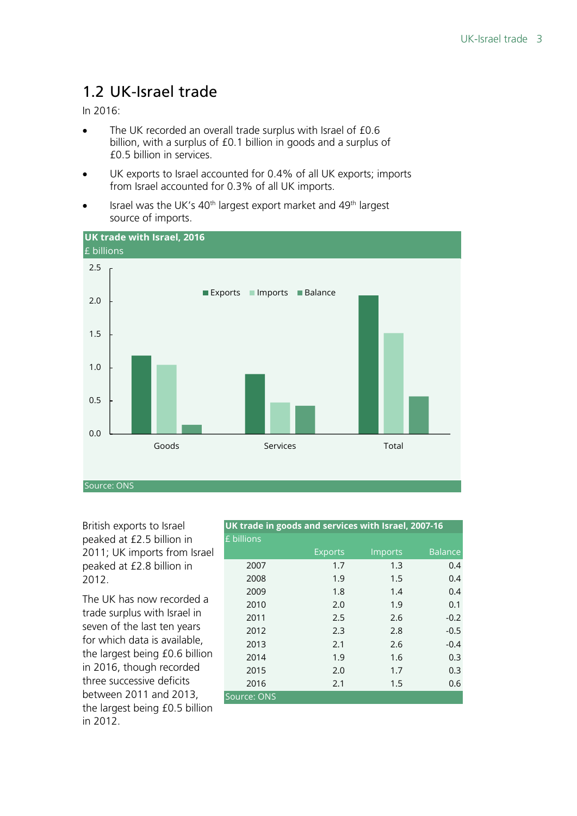## <span id="page-2-0"></span>1.2 UK-Israel trade

In 2016:

- The UK recorded an overall trade surplus with Israel of £0.6 billion, with a surplus of £0.1 billion in goods and a surplus of £0.5 billion in services.
- UK exports to Israel accounted for 0.4% of all UK exports; imports from Israel accounted for 0.3% of all UK imports.
- Israel was the UK's 40<sup>th</sup> largest export market and 49<sup>th</sup> largest source of imports.



British exports to Israel peaked at £2.5 billion in 2011; UK imports from Israel peaked at £2.8 billion in 2012.

The UK has now recorded a trade surplus with Israel in seven of the last ten years for which data is available, the largest being £0.6 billion in 2016, though recorded three successive deficits between 2011 and 2013, the largest being £0.5 billion in 2012.

| UK trade in goods and services with Israel, 2007-16 |                |         |                |  |  |  |  |
|-----------------------------------------------------|----------------|---------|----------------|--|--|--|--|
| £ billions                                          |                |         |                |  |  |  |  |
|                                                     | <b>Exports</b> | Imports | <b>Balance</b> |  |  |  |  |
| 2007                                                | 1.7            | 1.3     | 0.4            |  |  |  |  |
| 2008                                                | 1.9            | 1.5     | 0.4            |  |  |  |  |
| 2009                                                | 1.8            | 1.4     | 0.4            |  |  |  |  |
| 2010                                                | 2.0            | 1.9     | 0.1            |  |  |  |  |
| 2011                                                | 2.5            | 2.6     | $-0.2$         |  |  |  |  |
| 2012                                                | 2.3            | 2.8     | $-0.5$         |  |  |  |  |
| 2013                                                | 2.1            | 2.6     | $-0.4$         |  |  |  |  |
| 2014                                                | 1.9            | 1.6     | 0.3            |  |  |  |  |
| 2015                                                | 2.0            | 1.7     | 0.3            |  |  |  |  |
| 2016                                                | 2.1            | 1.5     | 0.6            |  |  |  |  |
| Source: ONS                                         |                |         |                |  |  |  |  |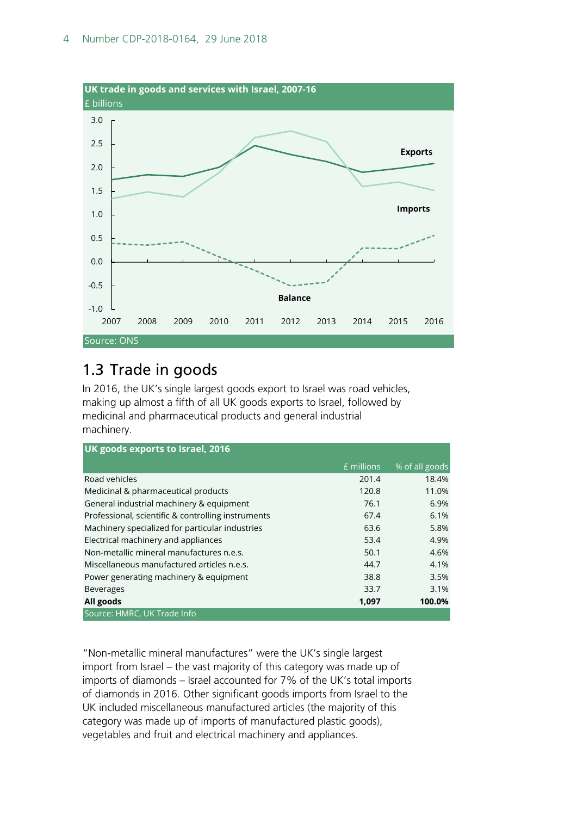

## <span id="page-3-0"></span>1.3 Trade in goods

In 2016, the UK's single largest goods export to Israel was road vehicles, making up almost a fifth of all UK goods exports to Israel, followed by medicinal and pharmaceutical products and general industrial machinery.

| UK goods exports to Israel, 2016                   |            |                |  |  |  |  |
|----------------------------------------------------|------------|----------------|--|--|--|--|
|                                                    | £ millions | % of all goods |  |  |  |  |
| Road vehicles                                      | 201.4      | 18.4%          |  |  |  |  |
| Medicinal & pharmaceutical products                | 120.8      | 11.0%          |  |  |  |  |
| General industrial machinery & equipment           | 76.1       | 6.9%           |  |  |  |  |
| Professional, scientific & controlling instruments | 67.4       | 6.1%           |  |  |  |  |
| Machinery specialized for particular industries    | 63.6       | 5.8%           |  |  |  |  |
| Electrical machinery and appliances                | 53.4       | 4.9%           |  |  |  |  |
| Non-metallic mineral manufactures n.e.s.           | 50.1       | 4.6%           |  |  |  |  |
| Miscellaneous manufactured articles n.e.s.         | 44.7       | 4.1%           |  |  |  |  |
| Power generating machinery & equipment             | 38.8       | 3.5%           |  |  |  |  |
| <b>Beverages</b>                                   | 33.7       | 3.1%           |  |  |  |  |
| All goods                                          | 1,097      | 100.0%         |  |  |  |  |
| Source: HMRC, UK Trade Info                        |            |                |  |  |  |  |

"Non-metallic mineral manufactures" were the UK's single largest import from Israel – the vast majority of this category was made up of imports of diamonds – Israel accounted for 7% of the UK's total imports of diamonds in 2016. Other significant goods imports from Israel to the UK included miscellaneous manufactured articles (the majority of this category was made up of imports of manufactured plastic goods), vegetables and fruit and electrical machinery and appliances.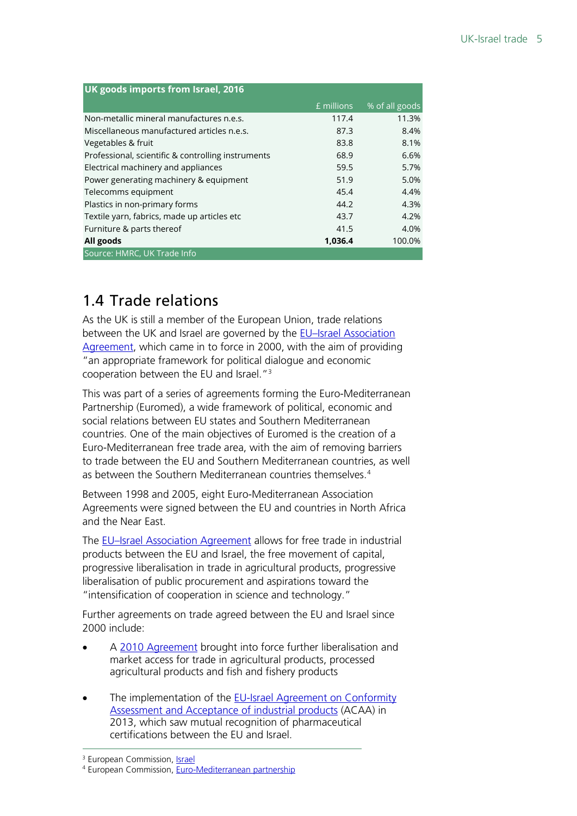| UK goods imports from Israel, 2016                 |            |                |  |  |  |
|----------------------------------------------------|------------|----------------|--|--|--|
|                                                    | £ millions | % of all goods |  |  |  |
| Non-metallic mineral manufactures n.e.s.           | 117.4      | 11.3%          |  |  |  |
| Miscellaneous manufactured articles n.e.s.         | 87.3       | 8.4%           |  |  |  |
| Vegetables & fruit                                 | 83.8       | 8.1%           |  |  |  |
| Professional, scientific & controlling instruments | 68.9       | 6.6%           |  |  |  |
| Electrical machinery and appliances                | 59.5       | 5.7%           |  |  |  |
| Power generating machinery & equipment             | 51.9       | 5.0%           |  |  |  |
| Telecomms equipment                                | 45.4       | 4.4%           |  |  |  |
| Plastics in non-primary forms                      | 44.2       | 4.3%           |  |  |  |
| Textile yarn, fabrics, made up articles etc        | 43.7       | 4.2%           |  |  |  |
| Furniture & parts thereof                          | 41.5       | 4.0%           |  |  |  |
| All goods                                          | 1,036.4    | 100.0%         |  |  |  |
| Source: HMRC, UK Trade Info                        |            |                |  |  |  |

## <span id="page-4-0"></span>1.4 Trade relations

As the UK is still a member of the European Union, trade relations between the UK and Israel are governed by the EU-Israel Association [Agreement,](http://eeas.europa.eu/archives/delegations/israel/documents/eu_israel/asso_agree_en.pdf) which came in to force in 2000, with the aim of providing "an appropriate framework for political dialogue and economic cooperation between the EU and Israel. $13$  $13$ 

This was part of a series of agreements forming the Euro-Mediterranean Partnership (Euromed), a wide framework of political, economic and social relations between EU states and Southern Mediterranean countries. One of the main objectives of Euromed is the creation of a Euro-Mediterranean free trade area, with the aim of removing barriers to trade between the EU and Southern Mediterranean countries, as well as between the Southern Mediterranean countries themselves. [4](#page-4-2)

Between 1998 and 2005, eight Euro-Mediterranean Association Agreements were signed between the EU and countries in North Africa and the Near East.

The [EU–Israel Association Agreement](http://eeas.europa.eu/archives/delegations/israel/documents/eu_israel/asso_agree_en.pdf) allows for free trade in industrial products between the EU and Israel, the free movement of capital, progressive liberalisation in trade in agricultural products, progressive liberalisation of public procurement and aspirations toward the "intensification of cooperation in science and technology."

Further agreements on trade agreed between the EU and Israel since 2000 include:

- A [2010 Agreement](https://eur-lex.europa.eu/LexUriServ/LexUriServ.do?uri=OJ:L:2009:313:0081:0082:EN:PDF) brought into force further liberalisation and market access for trade in agricultural products, processed agricultural products and fish and fishery products
- The implementation of the **EU-Israel Agreement on Conformity** [Assessment and Acceptance of industrial products](https://ec.europa.eu/health/sites/health/files/files/international/2013_acaa_implementation.pdf) (ACAA) in 2013, which saw mutual recognition of pharmaceutical certifications between the EU and Israel.

<sup>&</sup>lt;sup>3</sup> European Commission[, Israel](http://ec.europa.eu/trade/policy/countries-and-regions/countries/israel/)

<span id="page-4-2"></span><span id="page-4-1"></span><sup>4</sup> European Commission[, Euro-Mediterranean partnership](http://ec.europa.eu/trade/policy/countries-and-regions/regions/euro-mediterranean-partnership/)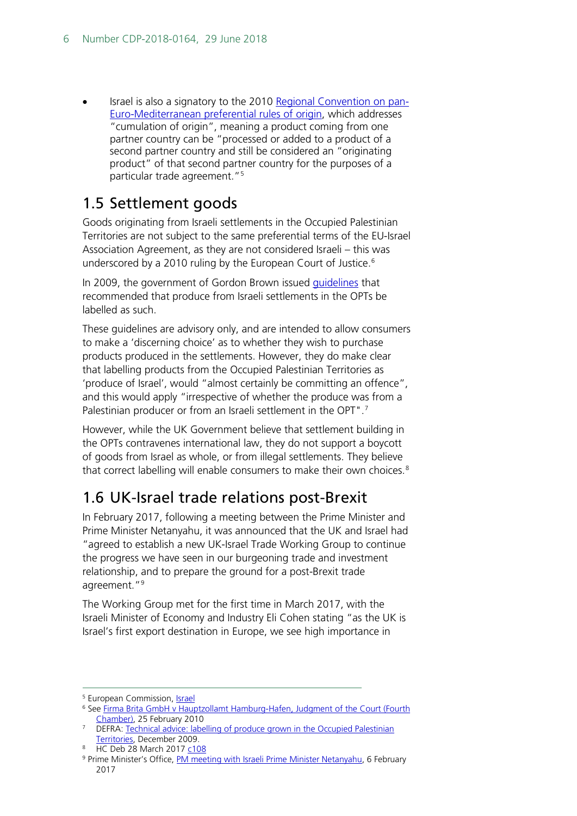• Israel is also a signatory to the 2010 [Regional Convention on pan-](http://register.consilium.europa.eu/doc/srv?l=EN&f=ST%209429%202010%20INIT)[Euro-Mediterranean preferential rules of origin,](http://register.consilium.europa.eu/doc/srv?l=EN&f=ST%209429%202010%20INIT) which addresses "cumulation of origin", meaning a product coming from one partner country can be "processed or added to a product of a second partner country and still be considered an "originating product" of that second partner country for the purposes of a particular trade agreement."[5](#page-5-2)

### <span id="page-5-0"></span>1.5 Settlement goods

Goods originating from Israeli settlements in the Occupied Palestinian Territories are not subject to the same preferential terms of the EU-Israel Association Agreement, as they are not considered Israeli – this was underscored by a 2010 ruling by the European Court of Justice.<sup>6</sup>

In 2009, the government of Gordon Brown issued [guidelines](http://webarchive.nationalarchives.gov.uk/20130402191540/http:/archive.defra.gov.uk/foodfarm/food/pdf/labelling-palestine.pdf) that recommended that produce from Israeli settlements in the OPTs be labelled as such.

These guidelines are advisory only, and are intended to allow consumers to make a 'discerning choice' as to whether they wish to purchase products produced in the settlements. However, they do make clear that labelling products from the Occupied Palestinian Territories as 'produce of Israel', would "almost certainly be committing an offence", and this would apply "irrespective of whether the produce was from a Palestinian producer or from an Israeli settlement in the OPT".<sup>[7](#page-5-4)</sup>

However, while the UK Government believe that settlement building in the OPTs contravenes international law, they do not support a boycott of goods from Israel as whole, or from illegal settlements. They believe that correct labelling will enable consumers to make their own choices.<sup>[8](#page-5-5)</sup>

### <span id="page-5-1"></span>1.6 UK-Israel trade relations post-Brexit

In February 2017, following a meeting between the Prime Minister and Prime Minister Netanyahu, it was announced that the UK and Israel had "agreed to establish a new UK-Israel Trade Working Group to continue the progress we have seen in our burgeoning trade and investment relationship, and to prepare the ground for a post-Brexit trade agreement."<sup>9</sup>

The Working Group met for the first time in March 2017, with the Israeli Minister of Economy and Industry Eli Cohen stating "as the UK is Israel's first export destination in Europe, we see high importance in

<span id="page-5-2"></span><sup>&</sup>lt;sup>5</sup> European Commission, **Israel** 

<span id="page-5-3"></span><sup>&</sup>lt;sup>6</sup> See Firma Brita GmbH v Hauptzollamt Hamburg-Hafen, Judgment of the Court (Fourth [Chamber\),](https://eur-lex.europa.eu/legal-content/EN/ALL/?uri=CELEX:62008CJ0386) 25 February 2010

<span id="page-5-4"></span>DEFRA: Technical advice: labelling of produce grown in the Occupied Palestinian [Territories,](http://webarchive.nationalarchives.gov.uk/20130402191540/http:/archive.defra.gov.uk/foodfarm/food/pdf/labelling-palestine.pdf) December 2009.

<sup>8</sup> HC Deb 28 March 2017 [c108](https://goo.gl/50KBWz)

<span id="page-5-6"></span><span id="page-5-5"></span><sup>9</sup> Prime Minister's Office, [PM meeting with Israeli Prime Minister Netanyahu,](https://www.gov.uk/government/news/pm-meeting-with-israeli-prime-minister-netanyahu-6-february-2017) 6 February 2017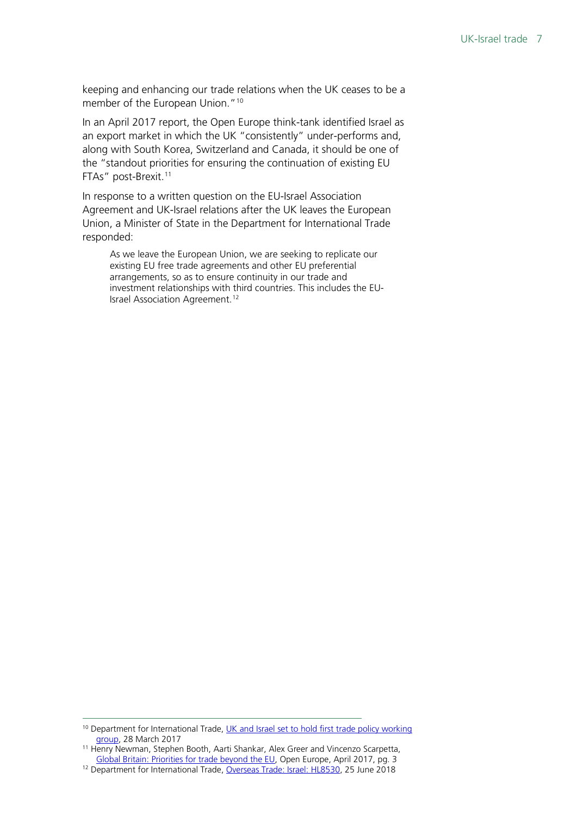keeping and enhancing our trade relations when the UK ceases to be a member of the European Union."<sup>[10](#page-6-0)</sup>

In an April 2017 report, the Open Europe think-tank identified Israel as an export market in which the UK "consistently" under-performs and, along with South Korea, Switzerland and Canada, it should be one of the "standout priorities for ensuring the continuation of existing EU FTAs" post-Brexit.<sup>[11](#page-6-1)</sup>

In response to a written question on the EU-Israel Association Agreement and UK-Israel relations after the UK leaves the European Union, a Minister of State in the Department for International Trade responded:

As we leave the European Union, we are seeking to replicate our existing EU free trade agreements and other EU preferential arrangements, so as to ensure continuity in our trade and investment relationships with third countries. This includes the EU-Israel Association Agreement.<sup>[12](#page-6-2)</sup>

<span id="page-6-0"></span><sup>&</sup>lt;sup>10</sup> Department for International Trade, UK and Israel set to hold first trade policy working [group,](https://www.gov.uk/government/news/uk-and-israel-set-to-hold-first-trade-policy-working-group) 28 March 2017

<span id="page-6-1"></span><sup>11</sup> Henry Newman, Stephen Booth, Aarti Shankar, Alex Greer and Vincenzo Scarpetta, [Global Britain: Priorities for trade beyond the EU,](https://openeurope.org.uk/intelligence/economic-policy-and-trade/global-britain-priorities-for-trade-beyond-the-eu/) Open Europe, April 2017, pg. 3

<span id="page-6-2"></span><sup>&</sup>lt;sup>12</sup> Department for International Trade, [Overseas Trade: Israel: HL8530,](https://www.parliament.uk/written-questions-answers-statements/written-question/lords/2018-06-11/HL8530) 25 June 2018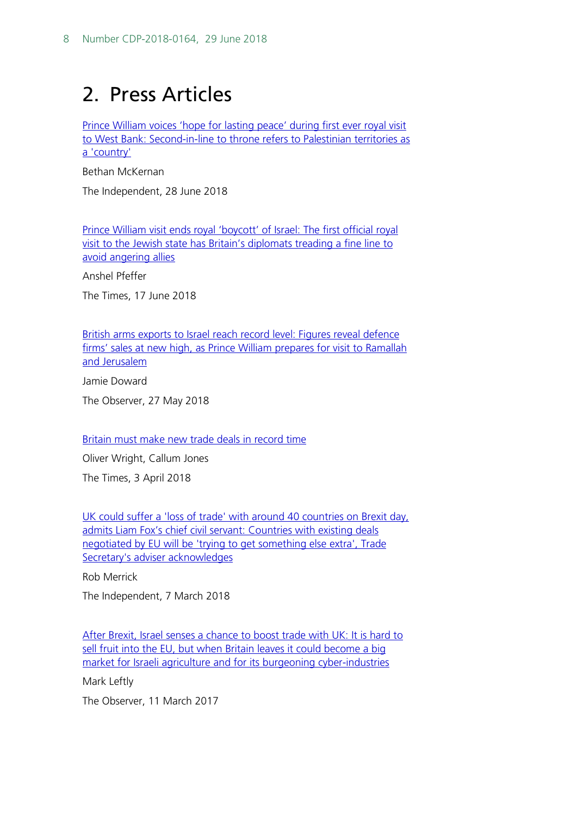## <span id="page-7-0"></span>2. Press Articles

[Prince William voices 'hope for lasting peace' during first ever royal visit](https://www.independent.co.uk/news/world/middle-east/prince-william-middle-east-trip-israel-palestinian-territories-visit-ramallah-mahmoud-abbas-a8419731.html)  [to West Bank: Second-in-line to throne refers to Palestinian territories as](https://www.independent.co.uk/news/world/middle-east/prince-william-middle-east-trip-israel-palestinian-territories-visit-ramallah-mahmoud-abbas-a8419731.html)  [a 'country'](https://www.independent.co.uk/news/world/middle-east/prince-william-middle-east-trip-israel-palestinian-territories-visit-ramallah-mahmoud-abbas-a8419731.html)

Bethan McKernan

The Independent, 28 June 2018

[Prince William visit ends royal 'boycott' of Israel: The first official royal](https://www.thetimes.co.uk/article/prince-william-visit-ends-royal-boycott-of-israel-fbg90pt00)  [visit to the Jewish state has Britain's diplomats treading a fine line to](https://www.thetimes.co.uk/article/prince-william-visit-ends-royal-boycott-of-israel-fbg90pt00)  [avoid angering allies](https://www.thetimes.co.uk/article/prince-william-visit-ends-royal-boycott-of-israel-fbg90pt00)

Anshel Pfeffer

The Times, 17 June 2018

[British arms exports to Israel reach record level: Figures reveal defence](https://www.theguardian.com/world/2018/may/27/british-arms-exports-israel-new-record)  firms' sales at new high, as Prince William prepares for visit to Ramallah [and Jerusalem](https://www.theguardian.com/world/2018/may/27/british-arms-exports-israel-new-record)

Jamie Doward

The Observer, 27 May 2018

[Britain must make new trade deals in record time](https://www.thetimes.co.uk/article/britain-must-make-new-trade-deals-in-record-time-w8dc82qdn)

Oliver Wright, Callum Jones

The Times, 3 April 2018

[UK could suffer a 'loss of trade' with around 40 countries on Brexit day,](https://www.independent.co.uk/news/uk/politics/uk-trade-deals-brexit-liam-fox-international-agreement-leave-eu-march-crawford-falconer-a8244716.html)  [admits Liam Fox's chief civil servant: Countries with existing deals](https://www.independent.co.uk/news/uk/politics/uk-trade-deals-brexit-liam-fox-international-agreement-leave-eu-march-crawford-falconer-a8244716.html)  negotiated by EU [will be 'trying to get something else extra', Trade](https://www.independent.co.uk/news/uk/politics/uk-trade-deals-brexit-liam-fox-international-agreement-leave-eu-march-crawford-falconer-a8244716.html)  [Secretary's adviser acknowledges](https://www.independent.co.uk/news/uk/politics/uk-trade-deals-brexit-liam-fox-international-agreement-leave-eu-march-crawford-falconer-a8244716.html)

Rob Merrick

The Independent, 7 March 2018

After Brexit, Israel senses a chance to boost trade with UK: It is hard to sell fruit into the EU, but when Britain leaves it could become a big [market for Israeli agriculture and for its burgeoning cyber-industries](https://www.theguardian.com/business/2017/mar/11/israel-farmers-programmers-sense-chance-to-grow-in-britain-brexit-trade-deal)

Mark Leftly

The Observer, 11 March 2017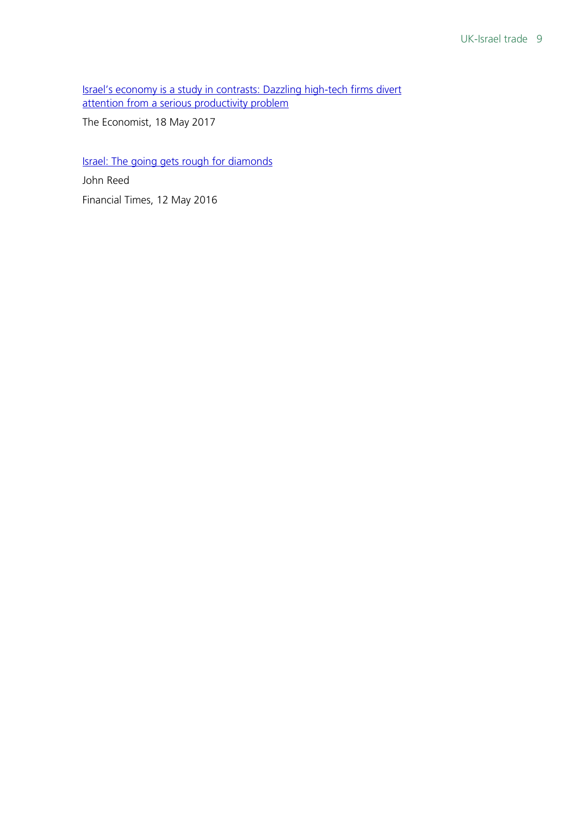[Israel's economy is a study in contrasts: Dazzling high-tech firms divert](https://www.economist.com/special-report/2017/05/18/israels-economy-is-a-study-in-contrasts)  [attention from a serious productivity problem](https://www.economist.com/special-report/2017/05/18/israels-economy-is-a-study-in-contrasts)

The Economist, 18 May 2017

[Israel: The going gets rough for diamonds](https://www.ft.com/content/120bdeaa-1778-11e6-9d98-00386a18e39d)

John Reed Financial Times, 12 May 2016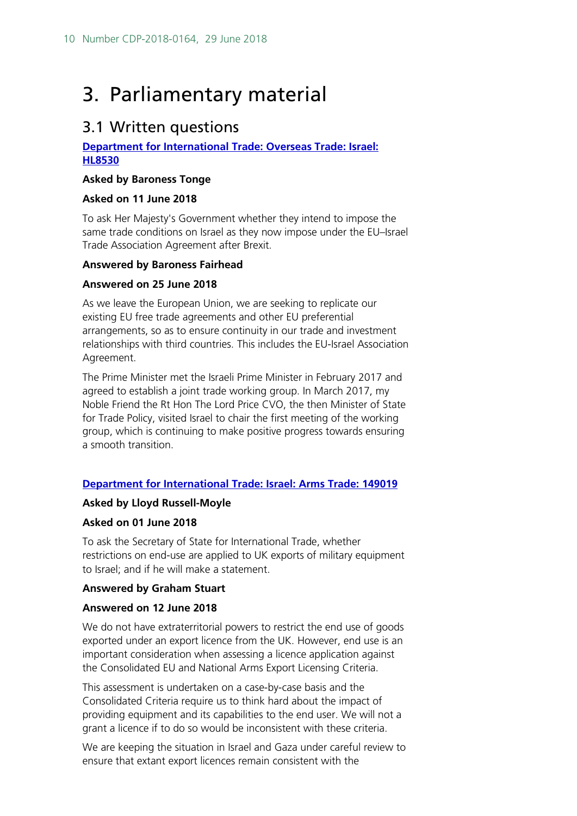## <span id="page-9-0"></span>3. Parliamentary material

### <span id="page-9-1"></span>3.1 Written questions

#### **[Department for International Trade: Overseas Trade: Israel:](https://www.parliament.uk/written-questions-answers-statements/written-question/lords/2018-06-11/HL8530)  [HL8530](https://www.parliament.uk/written-questions-answers-statements/written-question/lords/2018-06-11/HL8530)**

#### **Asked by Baroness Tonge**

#### **Asked on 11 June 2018**

To ask Her Majesty's Government whether they intend to impose the same trade conditions on Israel as they now impose under the EU–Israel Trade Association Agreement after Brexit.

#### **Answered by Baroness Fairhead**

#### **Answered on 25 June 2018**

As we leave the European Union, we are seeking to replicate our existing EU free trade agreements and other EU preferential arrangements, so as to ensure continuity in our trade and investment relationships with third countries. This includes the EU-Israel Association Agreement.

The Prime Minister met the Israeli Prime Minister in February 2017 and agreed to establish a joint trade working group. In March 2017, my Noble Friend the Rt Hon The Lord Price CVO, the then Minister of State for Trade Policy, visited Israel to chair the first meeting of the working group, which is continuing to make positive progress towards ensuring a smooth transition.

#### **[Department for International Trade: Israel: Arms Trade: 149019](https://www.parliament.uk/written-questions-answers-statements/written-question/commons/2018-06-01/149019)**

#### **Asked by Lloyd Russell-Moyle**

#### **Asked on 01 June 2018**

To ask the Secretary of State for International Trade, whether restrictions on end-use are applied to UK exports of military equipment to Israel; and if he will make a statement.

#### **Answered by Graham Stuart**

#### **Answered on 12 June 2018**

We do not have extraterritorial powers to restrict the end use of goods exported under an export licence from the UK. However, end use is an important consideration when assessing a licence application against the Consolidated EU and National Arms Export Licensing Criteria.

This assessment is undertaken on a case-by-case basis and the Consolidated Criteria require us to think hard about the impact of providing equipment and its capabilities to the end user. We will not a grant a licence if to do so would be inconsistent with these criteria.

We are keeping the situation in Israel and Gaza under careful review to ensure that extant export licences remain consistent with the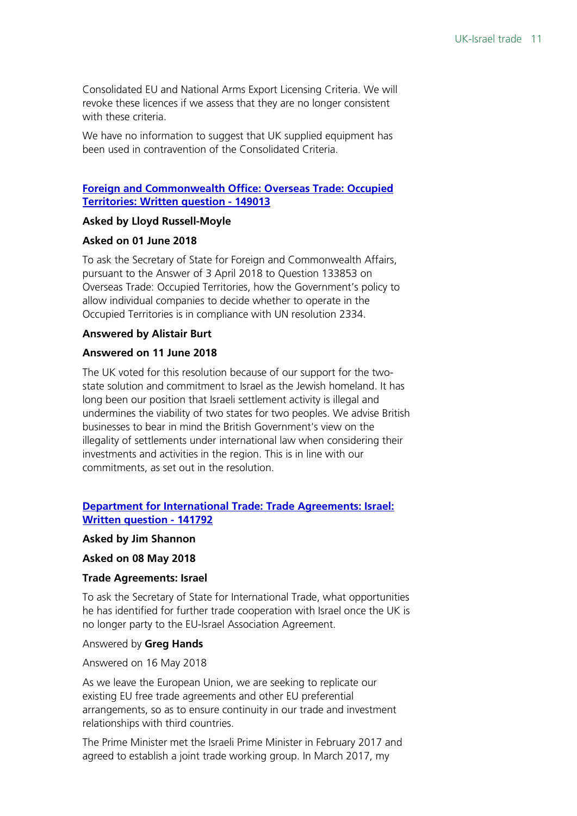Consolidated EU and National Arms Export Licensing Criteria. We will revoke these licences if we assess that they are no longer consistent with these criteria.

We have no information to suggest that UK supplied equipment has been used in contravention of the Consolidated Criteria.

#### **[Foreign and Commonwealth Office: Overseas Trade: Occupied](https://www.parliament.uk/written-questions-answers-statements/written-question/commons/2018-06-01/149013)  [Territories: Written question - 149013](https://www.parliament.uk/written-questions-answers-statements/written-question/commons/2018-06-01/149013)**

#### **Asked by Lloyd Russell-Moyle**

#### **Asked on 01 June 2018**

To ask the Secretary of State for Foreign and Commonwealth Affairs, pursuant to the Answer of 3 April 2018 to Question 133853 on Overseas Trade: Occupied Territories, how the Government's policy to allow individual companies to decide whether to operate in the Occupied Territories is in compliance with UN resolution 2334.

#### **Answered by Alistair Burt**

#### **Answered on 11 June 2018**

The UK voted for this resolution because of our support for the twostate solution and commitment to Israel as the Jewish homeland. It has long been our position that Israeli settlement activity is illegal and undermines the viability of two states for two peoples. We advise British businesses to bear in mind the British Government's view on the illegality of settlements under international law when considering their investments and activities in the region. This is in line with our commitments, as set out in the resolution.

#### **[Department for International Trade: Trade Agreements: Israel:](https://www.parliament.uk/written-questions-answers-statements/written-question/commons/2018-05-08/141792)  [Written question - 141792](https://www.parliament.uk/written-questions-answers-statements/written-question/commons/2018-05-08/141792)**

#### **Asked by Jim Shannon**

**Asked on 08 May 2018**

#### **Trade Agreements: Israel**

To ask the Secretary of State for International Trade, what opportunities he has identified for further trade cooperation with Israel once the UK is no longer party to the EU-Israel Association Agreement.

#### Answered by **Greg Hands**

#### Answered on 16 May 2018

As we leave the European Union, we are seeking to replicate our existing EU free trade agreements and other EU preferential arrangements, so as to ensure continuity in our trade and investment relationships with third countries.

The Prime Minister met the Israeli Prime Minister in February 2017 and agreed to establish a joint trade working group. In March 2017, my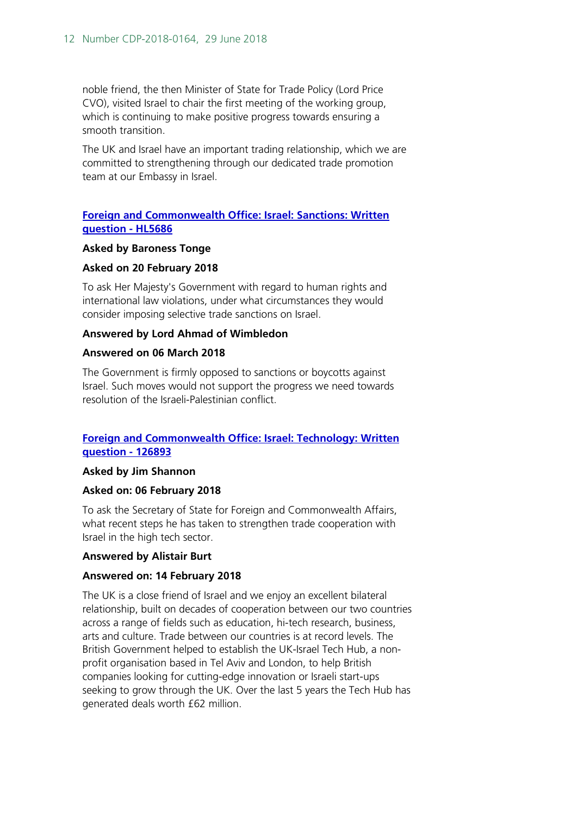noble friend, the then Minister of State for Trade Policy (Lord Price CVO), visited Israel to chair the first meeting of the working group, which is continuing to make positive progress towards ensuring a smooth transition.

The UK and Israel have an important trading relationship, which we are committed to strengthening through our dedicated trade promotion team at our Embassy in Israel.

#### **[Foreign and Commonwealth Office: Israel: Sanctions: Written](https://www.parliament.uk/written-questions-answers-statements/written-question/lords/2018-02-20/HL5686)  [question - HL5686](https://www.parliament.uk/written-questions-answers-statements/written-question/lords/2018-02-20/HL5686)**

#### **Asked by Baroness Tonge**

#### **Asked on 20 February 2018**

To ask Her Majesty's Government with regard to human rights and international law violations, under what circumstances they would consider imposing selective trade sanctions on Israel.

#### **Answered by Lord Ahmad of Wimbledon**

#### **Answered on 06 March 2018**

The Government is firmly opposed to sanctions or boycotts against Israel. Such moves would not support the progress we need towards resolution of the Israeli-Palestinian conflict.

#### **[Foreign and Commonwealth Office: Israel: Technology: Written](https://www.parliament.uk/written-questions-answers-statements/written-question/commons/2018-02-06/126893)  [question - 126893](https://www.parliament.uk/written-questions-answers-statements/written-question/commons/2018-02-06/126893)**

#### **Asked by Jim Shannon**

#### **Asked on: 06 February 2018**

To ask the Secretary of State for Foreign and Commonwealth Affairs, what recent steps he has taken to strengthen trade cooperation with Israel in the high tech sector.

#### **Answered by Alistair Burt**

#### **Answered on: 14 February 2018**

The UK is a close friend of Israel and we enjoy an excellent bilateral relationship, built on decades of cooperation between our two countries across a range of fields such as education, hi-tech research, business, arts and culture. Trade between our countries is at record levels. The British Government helped to establish the UK-Israel Tech Hub, a nonprofit organisation based in Tel Aviv and London, to help British companies looking for cutting-edge innovation or Israeli start-ups seeking to grow through the UK. Over the last 5 years the Tech Hub has generated deals worth £62 million.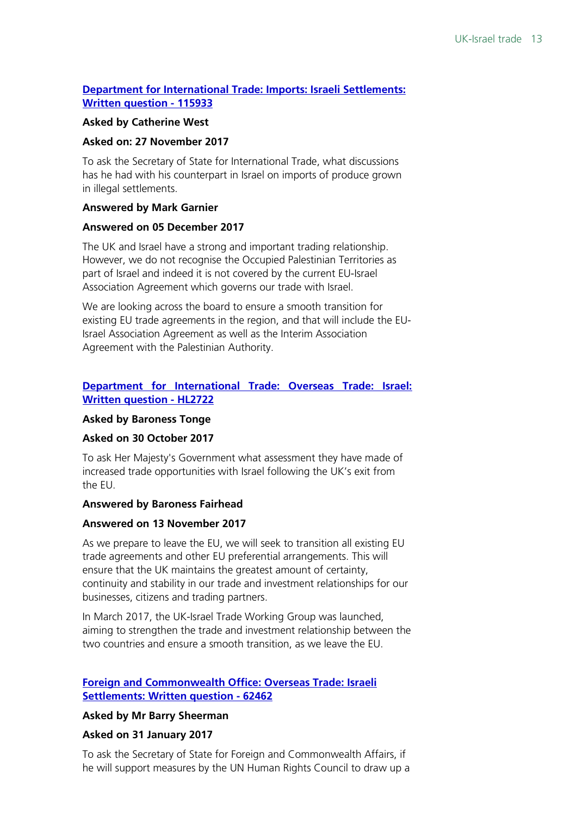#### **[Department for International Trade: Imports: Israeli Settlements:](https://www.parliament.uk/written-questions-answers-statements/written-question/commons/2017-11-27/115933)  [Written question - 115933](https://www.parliament.uk/written-questions-answers-statements/written-question/commons/2017-11-27/115933)**

#### **Asked by Catherine West**

#### **Asked on: 27 November 2017**

To ask the Secretary of State for International Trade, what discussions has he had with his counterpart in Israel on imports of produce grown in illegal settlements.

#### **Answered by Mark Garnier**

#### **Answered on 05 December 2017**

The UK and Israel have a strong and important trading relationship. However, we do not recognise the Occupied Palestinian Territories as part of Israel and indeed it is not covered by the current EU-Israel Association Agreement which governs our trade with Israel.

We are looking across the board to ensure a smooth transition for existing EU trade agreements in the region, and that will include the EU-Israel Association Agreement as well as the Interim Association Agreement with the Palestinian Authority.

#### **[Department for International Trade: Overseas Trade: Israel:](https://www.parliament.uk/written-questions-answers-statements/written-question/lords/2017-10-30/HL2722)  [Written question - HL2722](https://www.parliament.uk/written-questions-answers-statements/written-question/lords/2017-10-30/HL2722)**

#### **Asked by Baroness Tonge**

#### **Asked on 30 October 2017**

To ask Her Majesty's Government what assessment they have made of increased trade opportunities with Israel following the UK's exit from the EU.

#### **Answered by Baroness Fairhead**

#### **Answered on 13 November 2017**

As we prepare to leave the EU, we will seek to transition all existing EU trade agreements and other EU preferential arrangements. This will ensure that the UK maintains the greatest amount of certainty, continuity and stability in our trade and investment relationships for our businesses, citizens and trading partners.

In March 2017, the UK-Israel Trade Working Group was launched, aiming to strengthen the trade and investment relationship between the two countries and ensure a smooth transition, as we leave the EU.

#### **[Foreign and Commonwealth Office: Overseas Trade: Israeli](https://www.parliament.uk/written-questions-answers-statements/written-question/commons/2017-01-31/62462)  [Settlements: Written question - 62462](https://www.parliament.uk/written-questions-answers-statements/written-question/commons/2017-01-31/62462)**

#### **Asked by Mr Barry Sheerman**

#### **Asked on 31 January 2017**

To ask the Secretary of State for Foreign and Commonwealth Affairs, if he will support measures by the UN Human Rights Council to draw up a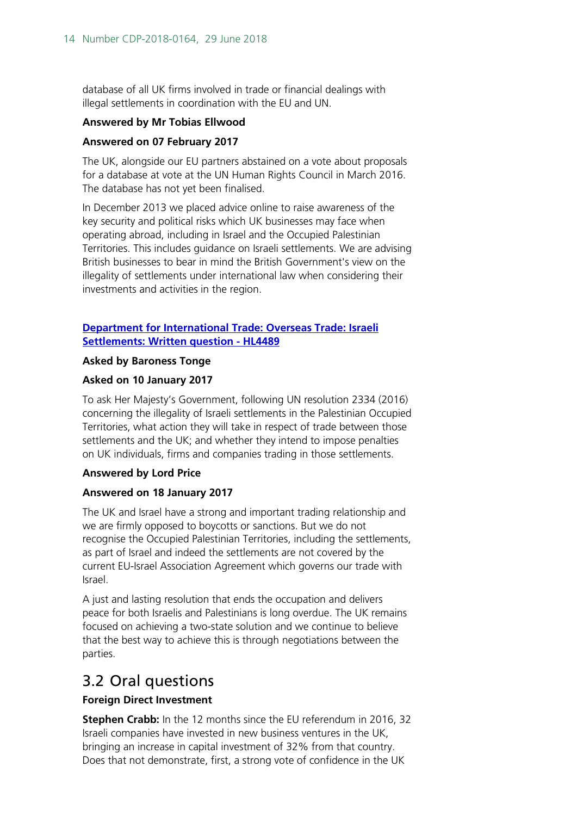database of all UK firms involved in trade or financial dealings with illegal settlements in coordination with the EU and UN.

#### **Answered by Mr Tobias Ellwood**

#### **Answered on 07 February 2017**

The UK, alongside our EU partners abstained on a vote about proposals for a database at vote at the UN Human Rights Council in March 2016. The database has not yet been finalised.

In December 2013 we placed advice online to raise awareness of the key security and political risks which UK businesses may face when operating abroad, including in Israel and the Occupied Palestinian Territories. This includes guidance on Israeli settlements. We are advising British businesses to bear in mind the British Government's view on the illegality of settlements under international law when considering their investments and activities in the region.

#### **[Department for International Trade: Overseas Trade: Israeli](https://www.parliament.uk/written-questions-answers-statements/written-question/lords/2017-01-10/HL4489)  Settlements: [Written question - HL4489](https://www.parliament.uk/written-questions-answers-statements/written-question/lords/2017-01-10/HL4489)**

#### **Asked by Baroness Tonge**

#### **Asked on 10 January 2017**

To ask Her Majesty's Government, following UN resolution 2334 (2016) concerning the illegality of Israeli settlements in the Palestinian Occupied Territories, what action they will take in respect of trade between those settlements and the UK; and whether they intend to impose penalties on UK individuals, firms and companies trading in those settlements.

#### **Answered by Lord Price**

#### **Answered on 18 January 2017**

The UK and Israel have a strong and important trading relationship and we are firmly opposed to boycotts or sanctions. But we do not recognise the Occupied Palestinian Territories, including the settlements, as part of Israel and indeed the settlements are not covered by the current EU-Israel Association Agreement which governs our trade with Israel.

A just and lasting resolution that ends the occupation and delivers peace for both Israelis and Palestinians is long overdue. The UK remains focused on achieving a two-state solution and we continue to believe that the best way to achieve this is through negotiations between the parties.

### <span id="page-13-0"></span>3.2 Oral questions

#### **Foreign Direct Investment**

**Stephen Crabb:** In the 12 months since the EU referendum in 2016, 32 Israeli companies have invested in new business ventures in the UK, bringing an increase in capital investment of 32% from that country. Does that not demonstrate, first, a strong vote of confidence in the UK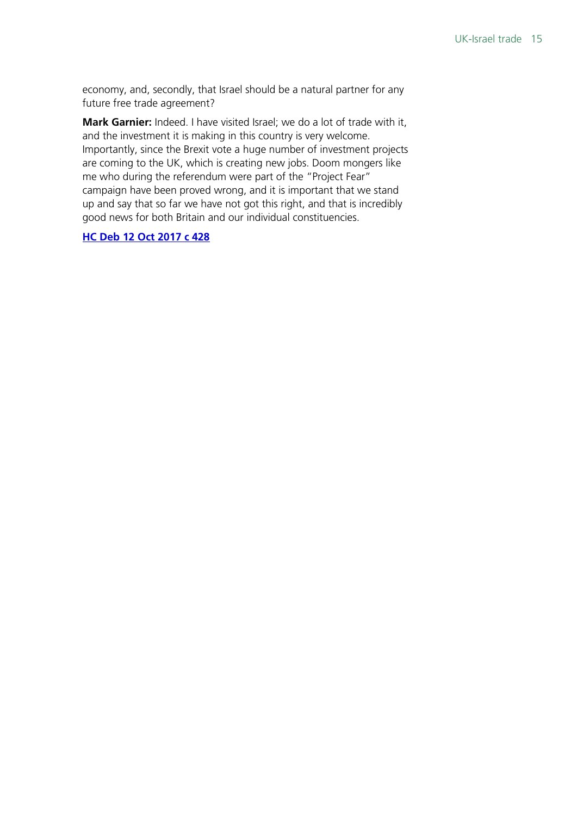economy, and, secondly, that Israel should be a natural partner for any future free trade agreement?

**Mark Garnier:** Indeed. I have visited Israel; we do a lot of trade with it, and the investment it is making in this country is very welcome. Importantly, since the Brexit vote a huge number of investment projects are coming to the UK, which is creating new jobs. Doom mongers like me who during the referendum were part of the "Project Fear" campaign have been proved wrong, and it is important that we stand up and say that so far we have not got this right, and that is incredibly good news for both Britain and our individual constituencies.

#### **[HC Deb 12 Oct 2017 c 428](https://hansard.parliament.uk/Commons/2017-10-12/debates/668E8758-F98A-42B3-B6E2-0569F1B0E3F6/ForeignDirectInvestment#contribution-1C02C8D7-4615-4A7B-BC7C-43BAFBA4D362)**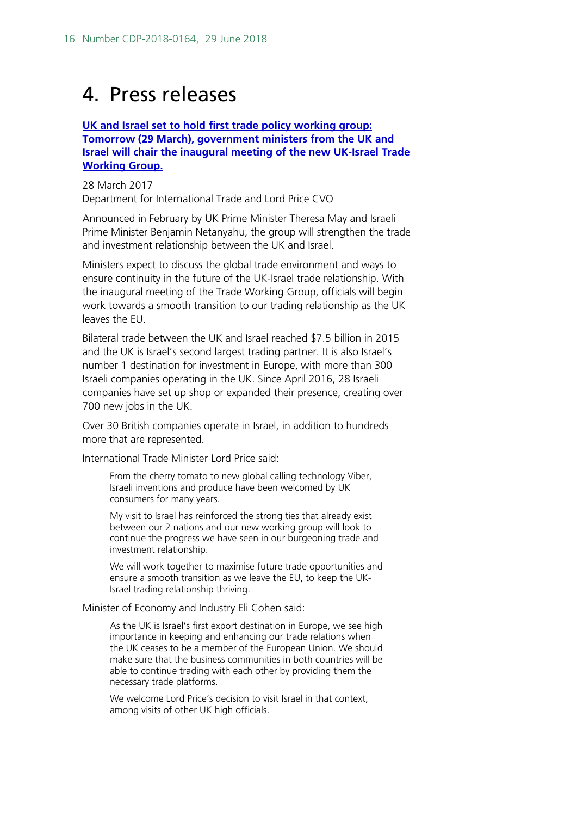## <span id="page-15-0"></span>4. Press releases

**[UK and Israel set to hold first trade policy working group:](https://www.gov.uk/government/news/uk-and-israel-set-to-hold-first-trade-policy-working-group)  [Tomorrow \(29 March\), government ministers from the UK and](https://www.gov.uk/government/news/uk-and-israel-set-to-hold-first-trade-policy-working-group)  [Israel will chair the inaugural meeting of the new UK-Israel Trade](https://www.gov.uk/government/news/uk-and-israel-set-to-hold-first-trade-policy-working-group)  [Working Group.](https://www.gov.uk/government/news/uk-and-israel-set-to-hold-first-trade-policy-working-group)**

28 March 2017 Department for International Trade and Lord Price CVO

Announced in February by UK Prime Minister Theresa May and Israeli Prime Minister Benjamin Netanyahu, the group will strengthen the trade and investment relationship between the UK and Israel.

Ministers expect to discuss the global trade environment and ways to ensure continuity in the future of the UK-Israel trade relationship. With the inaugural meeting of the Trade Working Group, officials will begin work towards a smooth transition to our trading relationship as the UK leaves the EU.

Bilateral trade between the UK and Israel reached \$7.5 billion in 2015 and the UK is Israel's second largest trading partner. It is also Israel's number 1 destination for investment in Europe, with more than 300 Israeli companies operating in the UK. Since April 2016, 28 Israeli companies have set up shop or expanded their presence, creating over 700 new jobs in the UK.

Over 30 British companies operate in Israel, in addition to hundreds more that are represented.

International Trade Minister Lord Price said:

From the cherry tomato to new global calling technology Viber, Israeli inventions and produce have been welcomed by UK consumers for many years.

My visit to Israel has reinforced the strong ties that already exist between our 2 nations and our new working group will look to continue the progress we have seen in our burgeoning trade and investment relationship.

We will work together to maximise future trade opportunities and ensure a smooth transition as we leave the EU, to keep the UK-Israel trading relationship thriving.

#### Minister of Economy and Industry Eli Cohen said:

As the UK is Israel's first export destination in Europe, we see high importance in keeping and enhancing our trade relations when the UK ceases to be a member of the European Union. We should make sure that the business communities in both countries will be able to continue trading with each other by providing them the necessary trade platforms.

We welcome Lord Price's decision to visit Israel in that context, among visits of other UK high officials.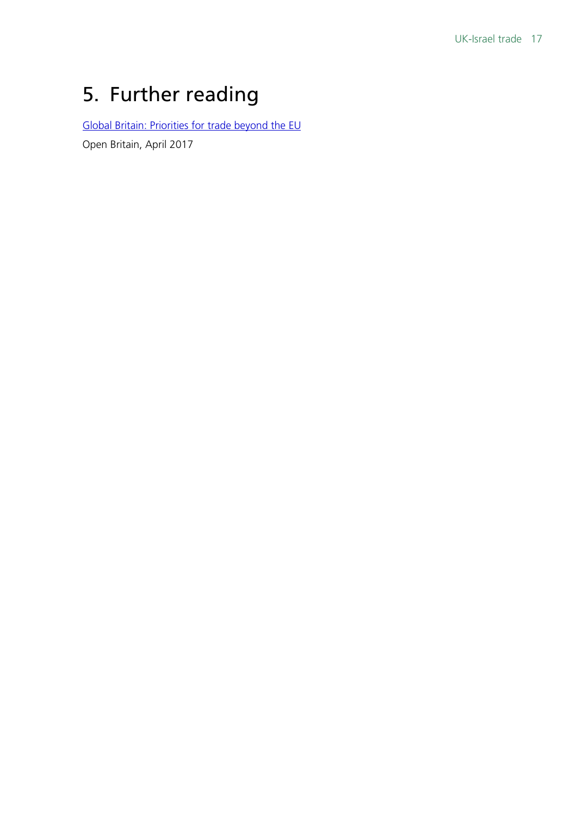## <span id="page-16-0"></span>5. Further reading

[Global Britain: Priorities for trade beyond the EU](https://openeurope.org.uk/intelligence/economic-policy-and-trade/global-britain-priorities-for-trade-beyond-the-eu/)

Open Britain, April 2017